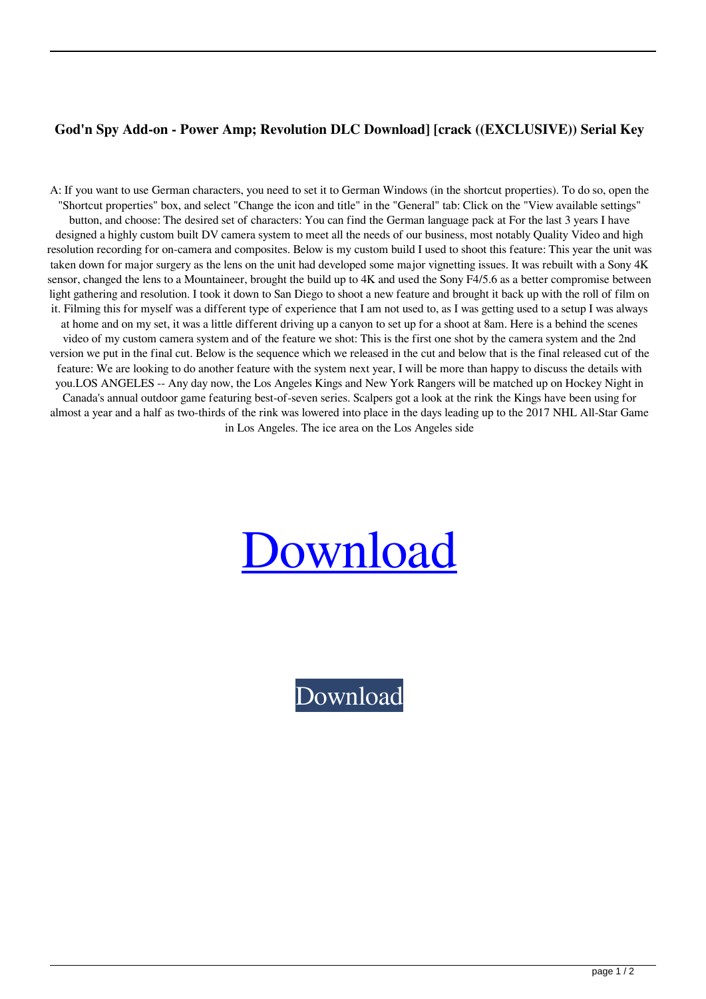## **God'n Spy Add-on - Power Amp; Revolution DLC Download] [crack ((EXCLUSIVE)) Serial Key**

A: If you want to use German characters, you need to set it to German Windows (in the shortcut properties). To do so, open the "Shortcut properties" box, and select "Change the icon and title" in the "General" tab: Click on the "View available settings" button, and choose: The desired set of characters: You can find the German language pack at For the last 3 years I have designed a highly custom built DV camera system to meet all the needs of our business, most notably Quality Video and high resolution recording for on-camera and composites. Below is my custom build I used to shoot this feature: This year the unit was taken down for major surgery as the lens on the unit had developed some major vignetting issues. It was rebuilt with a Sony 4K sensor, changed the lens to a Mountaineer, brought the build up to 4K and used the Sony F4/5.6 as a better compromise between light gathering and resolution. I took it down to San Diego to shoot a new feature and brought it back up with the roll of film on it. Filming this for myself was a different type of experience that I am not used to, as I was getting used to a setup I was always at home and on my set, it was a little different driving up a canyon to set up for a shoot at 8am. Here is a behind the scenes video of my custom camera system and of the feature we shot: This is the first one shot by the camera system and the 2nd version we put in the final cut. Below is the sequence which we released in the cut and below that is the final released cut of the feature: We are looking to do another feature with the system next year, I will be more than happy to discuss the details with you.LOS ANGELES -- Any day now, the Los Angeles Kings and New York Rangers will be matched up on Hockey Night in Canada's annual outdoor game featuring best-of-seven series. Scalpers got a look at the rink the Kings have been using for almost a year and a half as two-thirds of the rink was lowered into place in the days leading up to the 2017 NHL All-Star Game in Los Angeles. The ice area on the Los Angeles side

## [Download](https://bltlly.com/2l03qj)

[Download](https://bltlly.com/2l03qj)